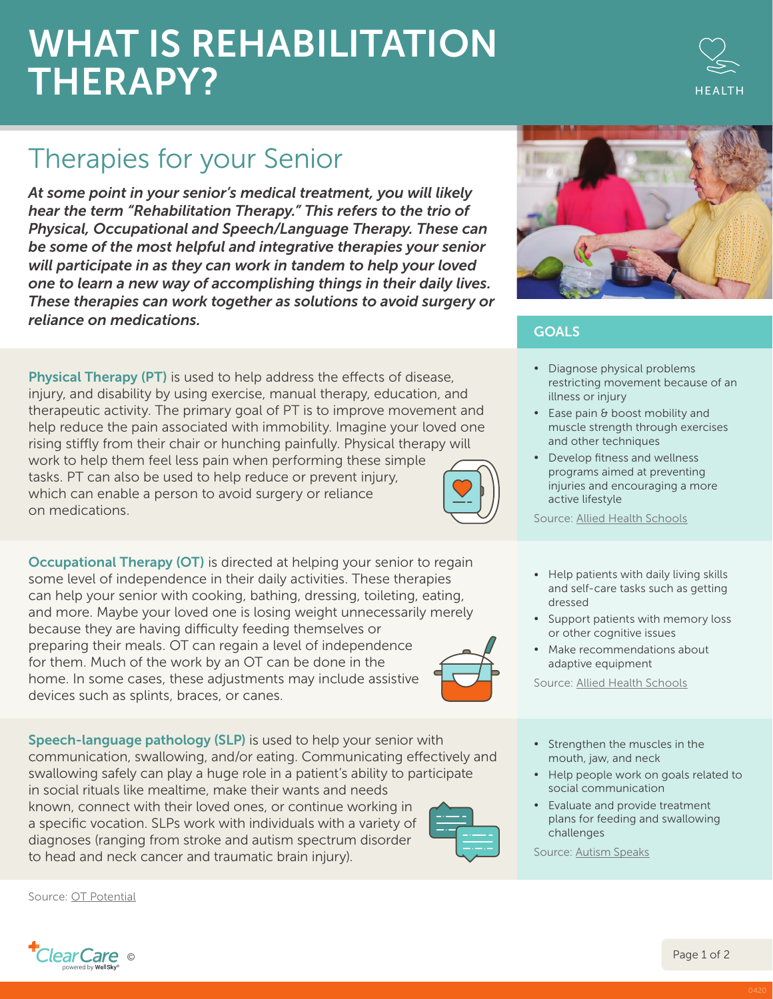## WHAT IS REHABILITATION THERAPY?

## Therapies for your Senior

*At some point in your senior's medical treatment, you will likely hear the term "Rehabilitation Therapy." This refers to the trio of Physical, Occupational and Speech/Language Therapy. These can be some of the most helpful and integrative therapies your senior will participate in as they can work in tandem to help your loved one to learn a new way of accomplishing things in their daily lives. These therapies can work together as solutions to avoid surgery or reliance on medications.*

Physical Therapy (PT) is used to help address the effects of disease, injury, and disability by using exercise, manual therapy, education, and therapeutic activity. The primary goal of PT is to improve movement and help reduce the pain associated with immobility. Imagine your loved one rising stiffly from their chair or hunching painfully. Physical therapy will work to help them feel less pain when performing these simple tasks. PT can also be used to help reduce or prevent injury, which can enable a person to avoid surgery or reliance on medications.

**Occupational Therapy (OT)** is directed at helping your senior to regain some level of independence in their daily activities. These therapies can help your senior with cooking, bathing, dressing, toileting, eating, and more. Maybe your loved one is losing weight unnecessarily merely because they are having difficulty feeding themselves or preparing their meals. OT can regain a level of independence for them. Much of the work by an OT can be done in the home. In some cases, these adjustments may include assistive devices such as splints, braces, or canes.

Speech-language pathology (SLP) is used to help your senior with communication, swallowing, and/or eating. Communicating effectively and swallowing safely can play a huge role in a patient's ability to participate in social rituals like mealtime, make their wants and needs known, connect with their loved ones, or continue working in a specific vocation. SLPs work with individuals with a variety of diagnoses (ranging from stroke and autism spectrum disorder to head and neck cancer and traumatic brain injury).

Source: [OT Potential](https://otpotential.com/)



## **GOALS**

- ∞ Diagnose physical problems restricting movement because of an illness or injury
- ∞ Ease pain & boost mobility and muscle strength through exercises and other techniques
- Develop fitness and wellness programs aimed at preventing injuries and encouraging a more active lifestyle

Source: [Allied Health Schools](https://www.allalliedhealthschools.com/)

- Help patients with daily living skills and self-care tasks such as getting dressed
- Support patients with memory loss or other cognitive issues
- Make recommendations about adaptive equipment

Source: [Allied Health Schools](https://www.allalliedhealthschools.com/)

- Strengthen the muscles in the mouth, jaw, and neck
- Help people work on goals related to social communication
- Evaluate and provide treatment plans for feeding and swallowing challenges

Source: [Autism Speaks](https://www.autismspeaks.org/speech-therapy)